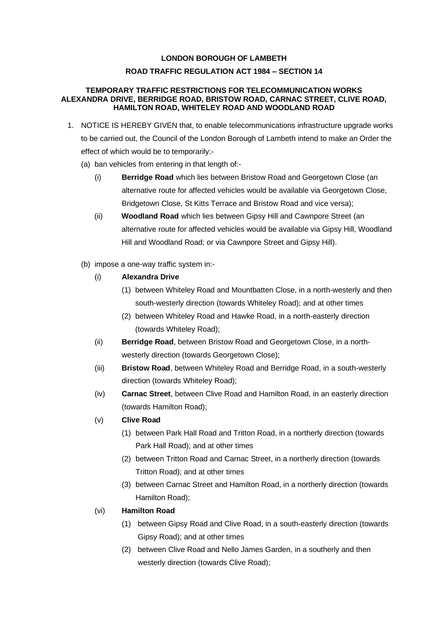## **LONDON BOROUGH OF LAMBETH ROAD TRAFFIC REGULATION ACT 1984 – SECTION 14**

## **TEMPORARY TRAFFIC RESTRICTIONS FOR TELECOMMUNICATION WORKS ALEXANDRA DRIVE, BERRIDGE ROAD, BRISTOW ROAD, CARNAC STREET, CLIVE ROAD, HAMILTON ROAD, WHITELEY ROAD AND WOODLAND ROAD**

- 1. NOTICE IS HEREBY GIVEN that, to enable telecommunications infrastructure upgrade works to be carried out, the Council of the London Borough of Lambeth intend to make an Order the effect of which would be to temporarily:-
	- (a) ban vehicles from entering in that length of:-
		- (i) **Berridge Road** which lies between Bristow Road and Georgetown Close (an alternative route for affected vehicles would be available via Georgetown Close, Bridgetown Close, St Kitts Terrace and Bristow Road and vice versa);
		- (ii) **Woodland Road** which lies between Gipsy Hill and Cawnpore Street (an alternative route for affected vehicles would be available via Gipsy Hill, Woodland Hill and Woodland Road; or via Cawnpore Street and Gipsy Hill).
	- (b) impose a one-way traffic system in:-
		- (i) **Alexandra Drive**
			- (1) between Whiteley Road and Mountbatten Close, in a north-westerly and then south-westerly direction (towards Whiteley Road); and at other times
			- (2) between Whiteley Road and Hawke Road, in a north-easterly direction (towards Whiteley Road);
		- (ii) **Berridge Road**, between Bristow Road and Georgetown Close, in a northwesterly direction (towards Georgetown Close);
		- (iii) **Bristow Road**, between Whiteley Road and Berridge Road, in a south-westerly direction (towards Whiteley Road);
		- (iv) **Carnac Street**, between Clive Road and Hamilton Road, in an easterly direction (towards Hamilton Road);
		- (v) **Clive Road**
			- (1) between Park Hall Road and Tritton Road, in a northerly direction (towards Park Hall Road); and at other times
			- (2) between Tritton Road and Carnac Street, in a northerly direction (towards Tritton Road); and at other times
			- (3) between Carnac Street and Hamilton Road, in a northerly direction (towards Hamilton Road);
		- (vi) **Hamilton Road**
			- (1) between Gipsy Road and Clive Road, in a south-easterly direction (towards Gipsy Road); and at other times
			- (2) between Clive Road and Nello James Garden, in a southerly and then westerly direction (towards Clive Road);